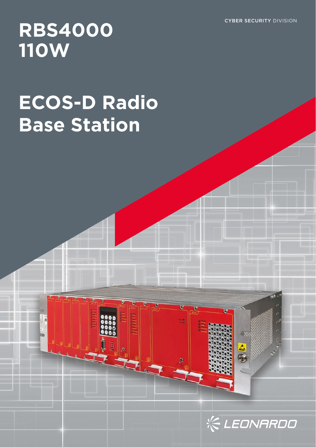CYBER SECURITY DIVISION

## **RBS4000 110W**

# **ECOS-D Radio Base Station**



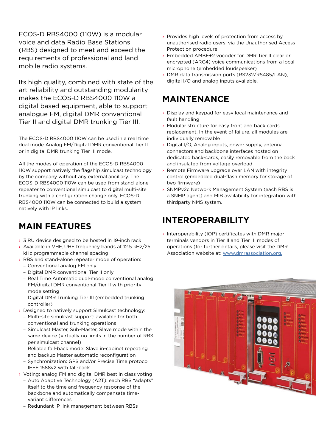ECOS-D RBS4000 (110W) is a modular voice and data Radio Base Stations (RBS) designed to meet and exceed the requirements of professional and land mobile radio systems.

Its high quality, combined with state of the art reliability and outstanding modularity makes the ECOS-D RBS4000 110W a digital based equipment, able to support analogue FM, digital DMR conventional Tier II and digital DMR trunking Tier III.

The ECOS-D RBS4000 110W can be used in a real time dual mode Analog FM/Digital DMR conventional Tier II or in digital DMR trunking Tier III mode.

All the modes of operation of the ECOS-D RBS4000 110W support natively the flagship simulcast technology by the company without any external ancillary. The ECOS-D RBS4000 110W can be used from stand-alone repeater to conventional simulcast to digital multi-site trunking with a configuration change only. ECOS-D RBS4000 110W can be connected to build a system natively with IP links.

## **MAIN FEATURES**

- > 3 RU device designed to be hosted in 19-inch rack
- › Available in VHF, UHF frequency bands at 12.5 kHz/25 kHz programmable channel spacing
- › RBS and stand-alone repeater mode of operation: – Conventional analog FM only
	- Digital DMR conventional Tier II only
	- Real Time Automatic dual-mode conventional analog FM/digital DMR conventional Tier II with priority mode setting
	- Digital DMR Trunking Tier III (embedded trunking controller)
- › Designed to natively support Simulcast technology:
	- Multi-site simulcast support: available for both conventional and trunking operations
	- Simulcast Master, Sub-Master, Slave mode within the same device (virtually no limits in the number of RBS per simulcast channel)
	- Reliable fall-back mode: Slave in-cabinet repeating and backup Master automatic reconfiguration
	- Synchronization: GPS and/or Precise Time protocol IEEE 1588v2 with fall-back
- › Voting: analog FM and digital DMR best in class voting
	- Auto Adaptive Technology (A2T): each RBS "adapts" itself to the time and frequency response of the backbone and automatically compensate timevariant differences
	- Redundant IP link management between RBSs
- › Provides high levels of protection from access by unauthorised radio users, via the Unauthorised Access Protection procedure
- › Embedded AMBE+2 vocoder for DMR Tier II clear or encrypted (ARC4) voice communications from a local microphone (embedded loudspeaker)
- › DMR data transmission ports (RS232/RS485/LAN), digital I/O and analog inputs available.

### **MAINTENANCE**

- › Display and keypad for easy local maintenance and fault handling
- › Modular structure for easy front and back cards replacement. In the event of failure, all modules are individually removable
- › Digital I/O, Analog inputs, power supply, antenna connectors and backbone interfaces hosted on dedicated back-cards, easily removable from the back and insulated from voltage overload
- › Remote Firmware upgrade over LAN with integrity control (embedded dual-flash memory for storage of two firmware)
- › SNMPv2c Network Management System (each RBS is a SNMP agent) and MIB availability for integration with thirdparty NMS system.

## **INTEROPERABILITY**

› Interoperability (IOP) certificates with DMR major terminals vendors in Tier II and Tier III modes of operations (for further details, please visit the DMR Association website at: www.dmrassociation.org.

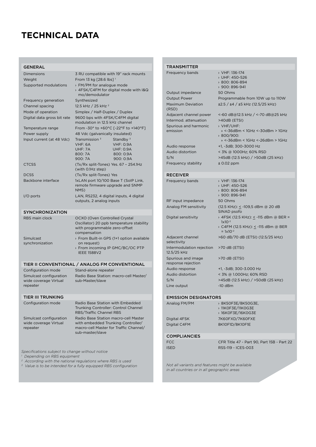## **TECHNICAL DATA**

#### GENERAL

| Dimensions<br>Weight        | 3 RU compatible with 19" rack mounts<br>From 13 kg [28.6 lbs] <sup>1</sup>                                                 |                                           |
|-----------------------------|----------------------------------------------------------------------------------------------------------------------------|-------------------------------------------|
| Supported modulations       | > FM/PM for analogue mode<br>> 4FSK/C4FM for digital mode with I&Q<br>mo/demodulator                                       |                                           |
| Frequency generation        | Synthesized                                                                                                                |                                           |
| Channel spacing             | 12.5 kHz / 25 kHz <sup>2</sup>                                                                                             |                                           |
| Mode of operation           | Simplex / Half-Duplex / Duplex                                                                                             |                                           |
| Digital data gross bit rate | 9600 bps with 4FSK/C4FM digital<br>modulation in 12.5 kHz channel                                                          |                                           |
| Temperature range           | From -30° to +60°C [-22°F to +140°F]                                                                                       |                                           |
| Power supply                | 48 Vdc (galvanically insulated)                                                                                            |                                           |
| Input current (at 48 Vdc)   | Transmission $3$<br>VHF: 6A                                                                                                | Standby $3$<br><b>VHF: 0.9A</b>           |
|                             | UHF: 7A                                                                                                                    | <b>UHF: 0.9A</b>                          |
|                             | 800: 7A                                                                                                                    | 800: 0.9A                                 |
|                             | 900: 7A                                                                                                                    | 900: 0.9A                                 |
| <b>CTCSS</b>                | (Tx/Rx split-Tones) Yes. 67 - 254.1Hz<br>(with 0.1Hz step)                                                                 |                                           |
| <b>DCSS</b>                 | (Tx/Rx split-Tones) Yes                                                                                                    |                                           |
| Backbone interface          | 1xLAN port 10/100 Base T (SoIP Link,<br>remote firmware upgrade and SNMP<br>NMS)                                           |                                           |
| $I/O$ ports                 | LAN, RS232, 4 digital inputs, 4 digital<br>outputs, 2 analog inputs                                                        |                                           |
| <b>SYNCHRONIZATION</b>      |                                                                                                                            |                                           |
| RBS main clock              | OCXO (Oven Controlled Crystal<br>Oscillator) 20 ppb temperature stability<br>with programmable zero-offset<br>compensation |                                           |
| Simulcast                   |                                                                                                                            | > From Built-in GPS (1+1 option available |

- › From Built-in GPS (1+1 option available on request)
	- › From incoming IP GMC/BC/OC PTP IEEE 1588V2

#### TIER II CONVENTIONAL / ANALOG FM CONVENTIONAL

sub-Master/slave

Configuration mode Stand-alone repeater Simulcast configuration Radio Base Station: macro-cell Master/ wide coverage Virtual repeater

synchronization

#### TIER III TRUNKING

Simulcast configuration wide coverage Virtual repeater

Configuration mode Radio Base Station with Embedded Trunking Controller: Control Channel RBS/Traffic Channel RBS

Radio Base Station macro-cell Master with embedded Trunking Controller/ macro-cell Master for Traffic Channel/ sub-master/slave

*Specifications subject to change without notice*

- *1 Depending on RBS equipment*
- *2 According with the national regulations where RBS is used*
- *3 Value is to be intended for a fully equipped RBS configuration*

| <b>TRANSMITTER</b>                       |                                                                  |
|------------------------------------------|------------------------------------------------------------------|
| Frequency bands                          | > VHF: 136-174<br>› UHF: 450-526<br>800: 806-894<br>900: 896-941 |
| Output impedance                         | 50 Ohms                                                          |
| <b>Output Power</b>                      | Programmable from 10W up to 110W                                 |
| <b>Maximum Deviation</b><br>(RSD)        | ±2.5 / ±4 / ±5 kHz (12.5/25 kHz)                                 |
| Adjacent channel power                   | <-60 dB@12.5 kHz / <-70 dB@25 kHz                                |
| Intermod. attenuation                    | >40dB (ETSI)                                                     |
| Spurious and harmonic<br>emission        | > VHF/UHF:<br>» <-36dBm < 1GHz <-30dBm > 1GHz<br>800/900:        |
|                                          | » <-36dBm < 1GHz <-26dBm > 1GHz                                  |
| Audio response                           | +1, -3dB; 300-3000 Hz                                            |
| Audio distortion                         | < 3% @ 1000Hz; 60% RSD                                           |
| S/N                                      | >45dB (12.5 kHz) / >50dB (25 kHz)                                |
| Frequency stability                      | $± 0.02$ ppm                                                     |
| <b>RECEIVER</b>                          |                                                                  |
| Frequency bands                          | > VHF: 136-174<br>> UHF: 450-526<br>800: 806-894<br>900: 896-941 |
| RF input impedance                       | 50 Ohms                                                          |
| Analog FM sensitivity                    | (12.5 KHz): <u>&lt;</u> -109,5 dBm @ 20 dB<br>SINAD psofo        |
| Digital sensitivity                      | > 4FSK (12.5 KHz): <u>&lt;</u> -115 dBm @ BER =<br>$1x10^{-2}$   |
|                                          | > C4FM (12.5 KHz): <u>&lt;</u> -115 dBm @ BER<br>$= 1x10^{-2}$   |
| Adjacent channel<br>selectivity          | >60 dB/70 dB (ETSI) (12.5/25 kHz)                                |
| Intermodulation rejection<br>12.5/25 kHz | >70 dB (ETSI)                                                    |
| Spurious and image<br>response rejection | >70 dB (ETSI)                                                    |
| Audio response                           | +1, -3dB; 300-3.000 Hz                                           |
| Audio distortion                         | < 3% @ 1.000Hz; 60% RSD                                          |
| S/N                                      | >45dB (12.5 kHz) / >50dB (25 kHz)                                |
| Line output                              | $-10$ dBm                                                        |
| <b>EMISSION DESIGNATORS</b>              |                                                                  |
| Analog FM/PM                             | > 8K50F3E/8K50G3E,<br>> 11KOF3E/11KOG3E<br>> 16K0F3E/16K0G3E     |
| Digital 4FSK                             | 7K60FXD/7K60FXE                                                  |

#### **COMPLIANCIES**

| <b>FCC</b>  | CFR Title 47 - Part 90, Part 15B - Part 22 |
|-------------|--------------------------------------------|
| <b>ISED</b> | RSS-119 - ICES-003                         |

Digital C4FM 8K10F1D/8K10F1E

*Not all variants and features might be available in all countries or in all geographic areas*